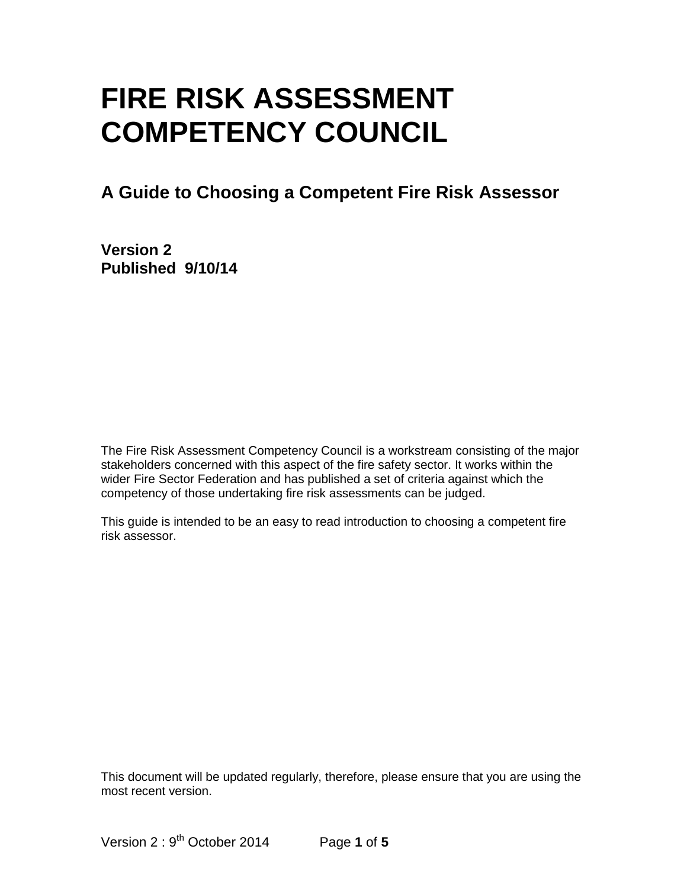# **FIRE RISK ASSESSMENT COMPETENCY COUNCIL**

### **A Guide to Choosing a Competent Fire Risk Assessor**

**Version 2 Published 9/10/14**

The Fire Risk Assessment Competency Council is a workstream consisting of the major stakeholders concerned with this aspect of the fire safety sector. It works within the wider Fire Sector Federation and has published a set of criteria against which the competency of those undertaking fire risk assessments can be judged.

This guide is intended to be an easy to read introduction to choosing a competent fire risk assessor.

This document will be updated regularly, therefore, please ensure that you are using the most recent version.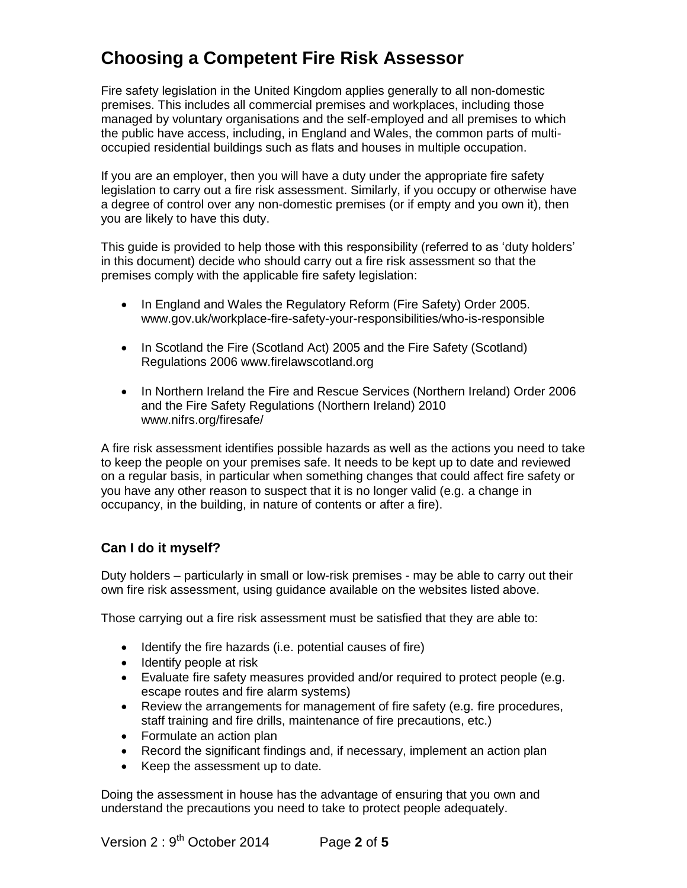## **Choosing a Competent Fire Risk Assessor**

Fire safety legislation in the United Kingdom applies generally to all non-domestic premises. This includes all commercial premises and workplaces, including those managed by voluntary organisations and the self-employed and all premises to which the public have access, including, in England and Wales, the common parts of multioccupied residential buildings such as flats and houses in multiple occupation.

If you are an employer, then you will have a duty under the appropriate fire safety legislation to carry out a fire risk assessment. Similarly, if you occupy or otherwise have a degree of control over any non-domestic premises (or if empty and you own it), then you are likely to have this duty.

This guide is provided to help those with this responsibility (referred to as 'duty holders' in this document) decide who should carry out a fire risk assessment so that the premises comply with the applicable fire safety legislation:

- In England and Wales the Regulatory Reform (Fire Safety) Order 2005. www.gov.uk/workplace-fire-safety-your-responsibilities/who-is-responsible
- In Scotland the Fire (Scotland Act) 2005 and the Fire Safety (Scotland) Regulations 2006 www.firelawscotland.org
- In Northern Ireland the Fire and Rescue Services (Northern Ireland) Order 2006 and the Fire Safety Regulations (Northern Ireland) 2010 www.nifrs.org/firesafe/

A fire risk assessment identifies possible hazards as well as the actions you need to take to keep the people on your premises safe. It needs to be kept up to date and reviewed on a regular basis, in particular when something changes that could affect fire safety or you have any other reason to suspect that it is no longer valid (e.g. a change in occupancy, in the building, in nature of contents or after a fire).

#### **Can I do it myself?**

Duty holders – particularly in small or low-risk premises - may be able to carry out their own fire risk assessment, using guidance available on the websites listed above.

Those carrying out a fire risk assessment must be satisfied that they are able to:

- Identify the fire hazards (i.e. potential causes of fire)
- Identify people at risk
- Evaluate fire safety measures provided and/or required to protect people (e.g. escape routes and fire alarm systems)
- Review the arrangements for management of fire safety (e.g. fire procedures, staff training and fire drills, maintenance of fire precautions, etc.)
- Formulate an action plan
- Record the significant findings and, if necessary, implement an action plan
- Keep the assessment up to date.

Doing the assessment in house has the advantage of ensuring that you own and understand the precautions you need to take to protect people adequately.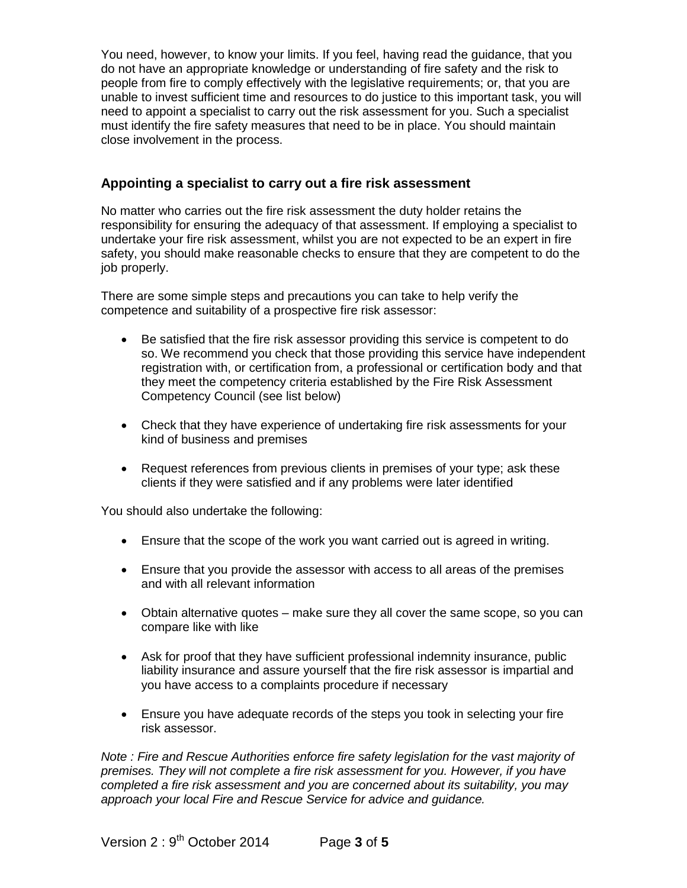You need, however, to know your limits. If you feel, having read the guidance, that you do not have an appropriate knowledge or understanding of fire safety and the risk to people from fire to comply effectively with the legislative requirements; or, that you are unable to invest sufficient time and resources to do justice to this important task, you will need to appoint a specialist to carry out the risk assessment for you. Such a specialist must identify the fire safety measures that need to be in place. You should maintain close involvement in the process.

#### **Appointing a specialist to carry out a fire risk assessment**

No matter who carries out the fire risk assessment the duty holder retains the responsibility for ensuring the adequacy of that assessment. If employing a specialist to undertake your fire risk assessment, whilst you are not expected to be an expert in fire safety, you should make reasonable checks to ensure that they are competent to do the job properly.

There are some simple steps and precautions you can take to help verify the competence and suitability of a prospective fire risk assessor:

- Be satisfied that the fire risk assessor providing this service is competent to do so. We recommend you check that those providing this service have independent registration with, or certification from, a professional or certification body and that they meet the competency criteria established by the Fire Risk Assessment Competency Council (see list below)
- Check that they have experience of undertaking fire risk assessments for your kind of business and premises
- Request references from previous clients in premises of your type; ask these clients if they were satisfied and if any problems were later identified

You should also undertake the following:

- Ensure that the scope of the work you want carried out is agreed in writing.
- Ensure that you provide the assessor with access to all areas of the premises and with all relevant information
- Obtain alternative quotes make sure they all cover the same scope, so you can compare like with like
- Ask for proof that they have sufficient professional indemnity insurance, public liability insurance and assure yourself that the fire risk assessor is impartial and you have access to a complaints procedure if necessary
- Ensure you have adequate records of the steps you took in selecting your fire risk assessor.

*Note : Fire and Rescue Authorities enforce fire safety legislation for the vast majority of premises. They will not complete a fire risk assessment for you. However, if you have completed a fire risk assessment and you are concerned about its suitability, you may approach your local Fire and Rescue Service for advice and guidance.*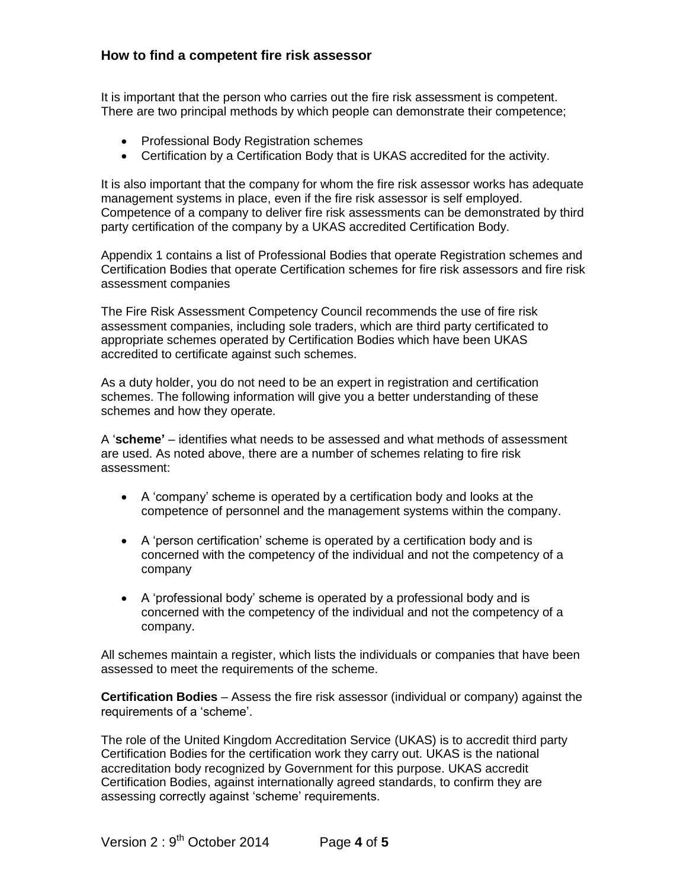#### **How to find a competent fire risk assessor**

It is important that the person who carries out the fire risk assessment is competent. There are two principal methods by which people can demonstrate their competence;

- Professional Body Registration schemes
- Certification by a Certification Body that is UKAS accredited for the activity.

It is also important that the company for whom the fire risk assessor works has adequate management systems in place, even if the fire risk assessor is self employed. Competence of a company to deliver fire risk assessments can be demonstrated by third party certification of the company by a UKAS accredited Certification Body.

Appendix 1 contains a list of Professional Bodies that operate Registration schemes and Certification Bodies that operate Certification schemes for fire risk assessors and fire risk assessment companies

The Fire Risk Assessment Competency Council recommends the use of fire risk assessment companies, including sole traders, which are third party certificated to appropriate schemes operated by Certification Bodies which have been UKAS accredited to certificate against such schemes.

As a duty holder, you do not need to be an expert in registration and certification schemes. The following information will give you a better understanding of these schemes and how they operate.

A '**scheme'** – identifies what needs to be assessed and what methods of assessment are used. As noted above, there are a number of schemes relating to fire risk assessment:

- A 'company' scheme is operated by a certification body and looks at the competence of personnel and the management systems within the company.
- A 'person certification' scheme is operated by a certification body and is concerned with the competency of the individual and not the competency of a company
- A 'professional body' scheme is operated by a professional body and is concerned with the competency of the individual and not the competency of a company.

All schemes maintain a register, which lists the individuals or companies that have been assessed to meet the requirements of the scheme.

**Certification Bodies** – Assess the fire risk assessor (individual or company) against the requirements of a 'scheme'.

The role of the United Kingdom Accreditation Service (UKAS) is to accredit third party Certification Bodies for the certification work they carry out. UKAS is the national accreditation body recognized by Government for this purpose. UKAS accredit Certification Bodies, against internationally agreed standards, to confirm they are assessing correctly against 'scheme' requirements.